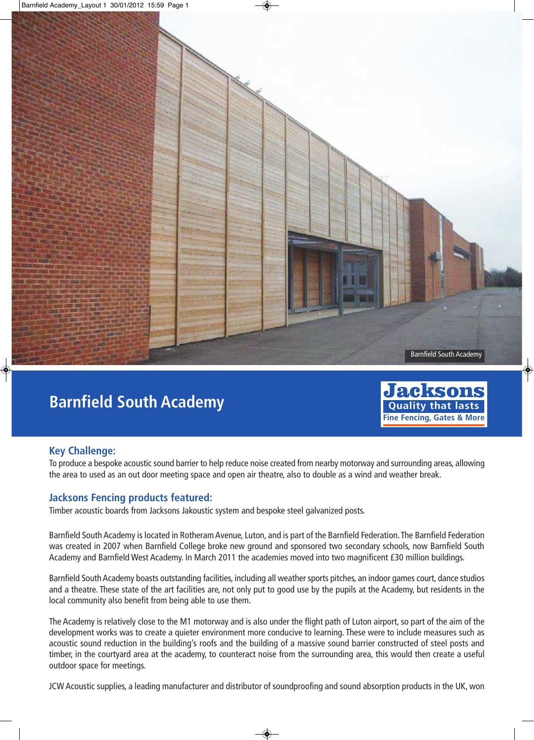

## **Barnfield South Academy**



## **Key Challenge:**

To produce a bespoke acoustic sound barrier to help reduce noise created from nearby motorway and surrounding areas, allowing the area to used as an out door meeting space and open air theatre, also to double as a wind and weather break.

## **Jacksons Fencing products featured:**

Timber acoustic boards from Jacksons Jakoustic system and bespoke steel galvanized posts.

Barnfield South Academy is located in Rotheram Avenue, Luton, and is part of the Barnfield Federation. The Barnfield Federation was created in 2007 when Barnfield College broke new ground and sponsored two secondary schools, now Barnfield South Academy and Barnfield West Academy. In March 2011 the academies moved into two magnificent £30 million buildings.

Barnfield South Academy boasts outstanding facilities, including all weather sports pitches, an indoor games court, dance studios and a theatre. These state of the art facilities are, not only put to good use by the pupils at the Academy, but residents in the local community also benefit from being able to use them.

The Academy is relatively close to the M1 motorway and is also under the flight path of Luton airport, so part of the aim of the development works was to create a quieter environment more conducive to learning. These were to include measures such as acoustic sound reduction in the building's roofs and the building of a massive sound barrier constructed of steel posts and timber, in the courtyard area at the academy, to counteract noise from the surrounding area, this would then create a useful outdoor space for meetings.

JCW Acoustic supplies, a leading manufacturer and distributor of soundproofing and sound absorption products in the UK, won